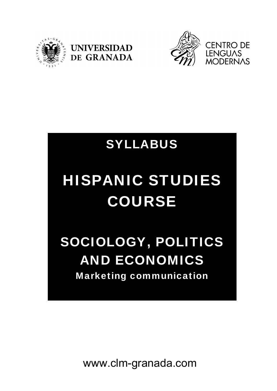





## SYLLABUS

# HISPANIC STUDIES COURSE

## SOCIOLOGY, POLITICS AND ECONOMICS Marketing communication

www.clm-granada.com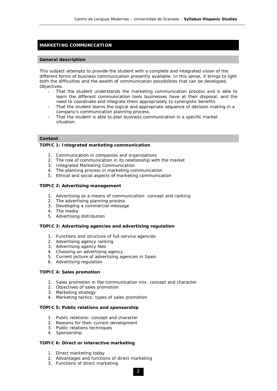### **MARKETING COMMUNICATION**

#### **General description**

This subject attempts to provide the student with a complete and integrated vision of the different forms of business communication presently available. In this sense, it brings to light both the difficulties and the wealth of communication possibilities that can be developed. Objectives:

- That the student understands the marketing communication process and is able to learn the different communication tools businesses have at their disposal, and the need to coordinate and integrate them appropriately to synergistic benefits.
- That the student learns the logical and appropriate sequence of decision making in a company's communication planning process.
- That the student is able to plan business communication in a specific market situation.

#### **Content**

#### **TOPIC 1: Integrated marketing communication**

- 1. Communication in companies and organizations
- 2. The role of communication in its relationship with the market
- 3. Integrated Marketing Communication
- 4. The planning process in marketing communication
- 5. Ethical and social aspects of marketing communication

#### **TOPIC 2: Advertising management**

- 1. Advertising as a means of communication: concept and ranking
- 2. The advertising planning process
- 3. Developing a commercial message
- 4. The media
- 5. Advertising distribution

#### **TOPIC 3: Advertising agencies and advertising regulation**

- 1. Functions and structure of full-service agencies
- 2. Advertising agency ranking
- 3. Advertising agency fees
- 4. Choosing an advertising agency
- 5. Current picture of advertising agencies in Spain
- 6. Advertising regulation

#### **TOPIC 4: Sales promotion**

- 1. Sales promotion in the communication mix: concept and character
- 2. Objectives of sales promotion
- 3. Marketing strategy
- 4. Marketing tactics: types of sales promotion

#### **TOPIC 5: Public relations and sponsorship**

- 1. Public relations: concept and character
- 2. Reasons for their current development
- 3. Public relations techniques
- 4. Sponsorship

#### **TOPIC 6: Direct or interactive marketing**

- 1. Direct marketing today
- 2. Advantages and functions of direct marketing
- 3. Functions of direct marketing